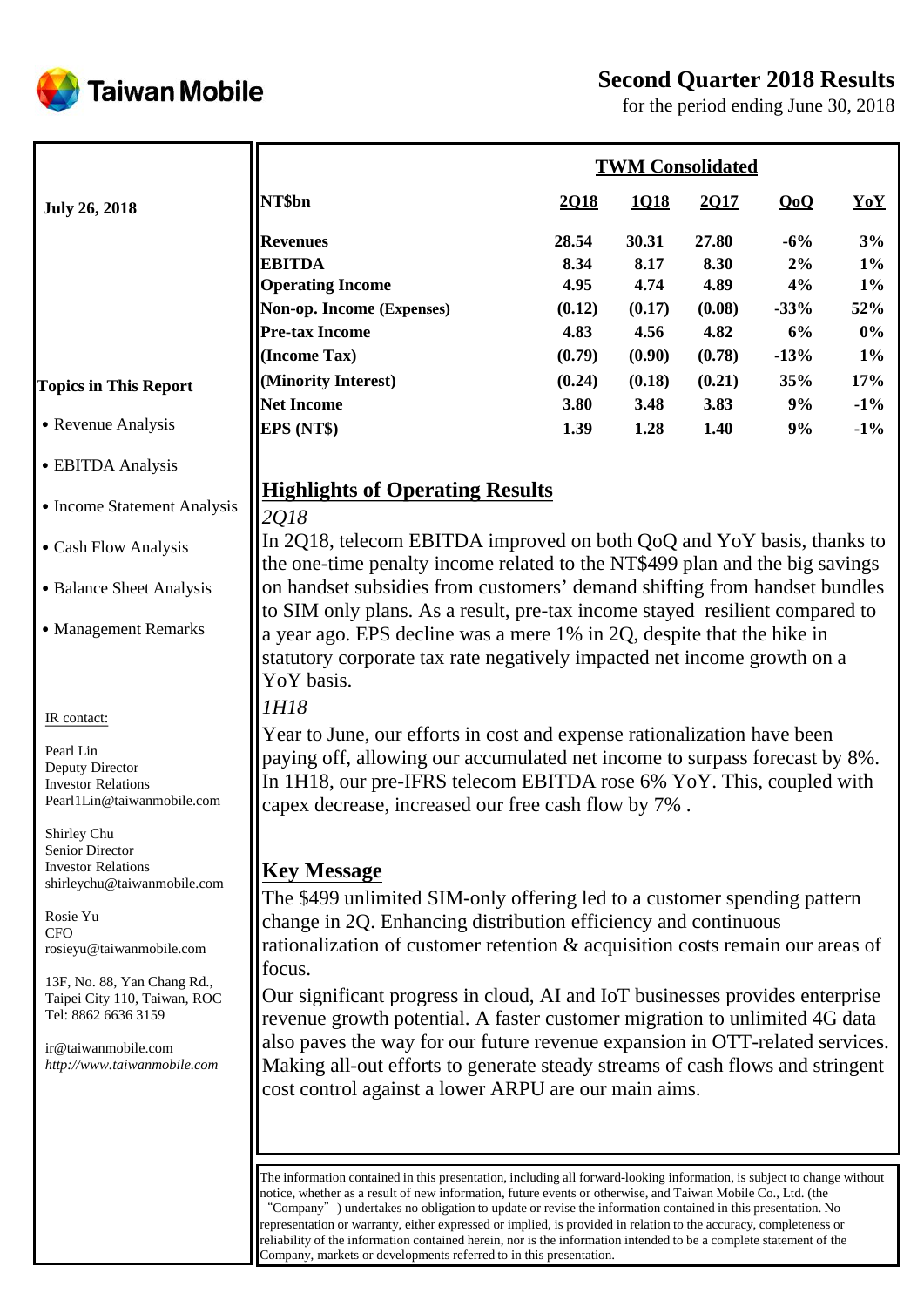



for the period ending June 30, 2018

|                                                          | <b>TWM Consolidated</b>                                                                                                                                  |               |               |               |             |             |  |
|----------------------------------------------------------|----------------------------------------------------------------------------------------------------------------------------------------------------------|---------------|---------------|---------------|-------------|-------------|--|
| <b>July 26, 2018</b>                                     | NT\$bn                                                                                                                                                   | 2018          | 1Q18          | 2Q17          | QoQ         | YoY         |  |
|                                                          | <b>Revenues</b><br><b>EBITDA</b>                                                                                                                         | 28.54<br>8.34 | 30.31<br>8.17 | 27.80<br>8.30 | $-6%$<br>2% | 3%<br>$1\%$ |  |
|                                                          | <b>Operating Income</b>                                                                                                                                  | 4.95          | 4.74          | 4.89          | 4%          | $1\%$       |  |
|                                                          | Non-op. Income (Expenses)                                                                                                                                | (0.12)        | (0.17)        | (0.08)        | $-33%$      | 52%         |  |
|                                                          | <b>Pre-tax Income</b>                                                                                                                                    | 4.83          | 4.56          | 4.82          | 6%          | $0\%$       |  |
|                                                          | (Income Tax)                                                                                                                                             | (0.79)        | (0.90)        | (0.78)        | $-13%$      | $1\%$       |  |
|                                                          | (Minority Interest)                                                                                                                                      | (0.24)        | (0.18)        | (0.21)        | 35%         | 17%         |  |
| <b>Topics in This Report</b>                             | <b>Net Income</b>                                                                                                                                        | 3.80          | 3.48          | 3.83          | 9%          | $-1\%$      |  |
| • Revenue Analysis                                       | EPS (NT\$)                                                                                                                                               | 1.39          | 1.28          | $1.40$        | 9%          | $-1\%$      |  |
| • EBITDA Analysis                                        |                                                                                                                                                          |               |               |               |             |             |  |
|                                                          | <b>Highlights of Operating Results</b>                                                                                                                   |               |               |               |             |             |  |
| • Income Statement Analysis                              | 2018                                                                                                                                                     |               |               |               |             |             |  |
| • Cash Flow Analysis                                     | In 2018, telecom EBITDA improved on both QoQ and YoY basis, thanks to                                                                                    |               |               |               |             |             |  |
|                                                          | the one-time penalty income related to the NT\$499 plan and the big savings                                                                              |               |               |               |             |             |  |
| • Balance Sheet Analysis                                 | on handset subsidies from customers' demand shifting from handset bundles<br>to SIM only plans. As a result, pre-tax income stayed resilient compared to |               |               |               |             |             |  |
| • Management Remarks                                     | a year ago. EPS decline was a mere 1% in 2Q, despite that the hike in                                                                                    |               |               |               |             |             |  |
|                                                          | statutory corporate tax rate negatively impacted net income growth on a                                                                                  |               |               |               |             |             |  |
|                                                          | YoY basis.                                                                                                                                               |               |               |               |             |             |  |
|                                                          | 1H18                                                                                                                                                     |               |               |               |             |             |  |
| IR contact:                                              | Year to June, our efforts in cost and expense rationalization have been                                                                                  |               |               |               |             |             |  |
| Pearl Lin                                                | paying off, allowing our accumulated net income to surpass forecast by 8%.                                                                               |               |               |               |             |             |  |
| Deputy Director<br><b>Investor Relations</b>             | In 1H18, our pre-IFRS telecom EBITDA rose 6% YoY. This, coupled with                                                                                     |               |               |               |             |             |  |
| Pearl1Lin@taiwanmobile.com                               | capex decrease, increased our free cash flow by 7%.                                                                                                      |               |               |               |             |             |  |
| Shirley Chu                                              |                                                                                                                                                          |               |               |               |             |             |  |
| <b>Senior Director</b>                                   |                                                                                                                                                          |               |               |               |             |             |  |
| <b>Investor Relations</b><br>shirleychu@taiwanmobile.com | <b>Key Message</b>                                                                                                                                       |               |               |               |             |             |  |
|                                                          | The \$499 unlimited SIM-only offering led to a customer spending pattern                                                                                 |               |               |               |             |             |  |
| Rosie Yu<br><b>CFO</b>                                   | change in 2Q. Enhancing distribution efficiency and continuous                                                                                           |               |               |               |             |             |  |
| rosieyu@taiwanmobile.com                                 | rationalization of customer retention & acquisition costs remain our areas of                                                                            |               |               |               |             |             |  |
| 13F, No. 88, Yan Chang Rd.,                              | focus.                                                                                                                                                   |               |               |               |             |             |  |
| Taipei City 110, Taiwan, ROC                             | Our significant progress in cloud, AI and IoT businesses provides enterprise                                                                             |               |               |               |             |             |  |
| Tel: 8862 6636 3159                                      | revenue growth potential. A faster customer migration to unlimited 4G data                                                                               |               |               |               |             |             |  |
| ir@taiwanmobile.com                                      | also paves the way for our future revenue expansion in OTT-related services.                                                                             |               |               |               |             |             |  |
| http://www.taiwanmobile.com                              | Making all-out efforts to generate steady streams of cash flows and stringent                                                                            |               |               |               |             |             |  |
|                                                          | cost control against a lower ARPU are our main aims.                                                                                                     |               |               |               |             |             |  |
|                                                          |                                                                                                                                                          |               |               |               |             |             |  |
|                                                          |                                                                                                                                                          |               |               |               |             |             |  |
|                                                          | The information contained in this presentation, including all forward-looking information, is subject to change without                                  |               |               |               |             |             |  |
|                                                          | notice, whether as a result of new information, future events or otherwise, and Taiwan Mobile Co., Ltd. (the                                             |               |               |               |             |             |  |

"Company") undertakes no obligation to update or revise the information contained in this presentation. No representation or warranty, either expressed or implied, is provided in relation to the accuracy, completeness or reliability of the information contained herein, nor is the information intended to be a complete statement of the Company, markets or developments referred to in this presentation.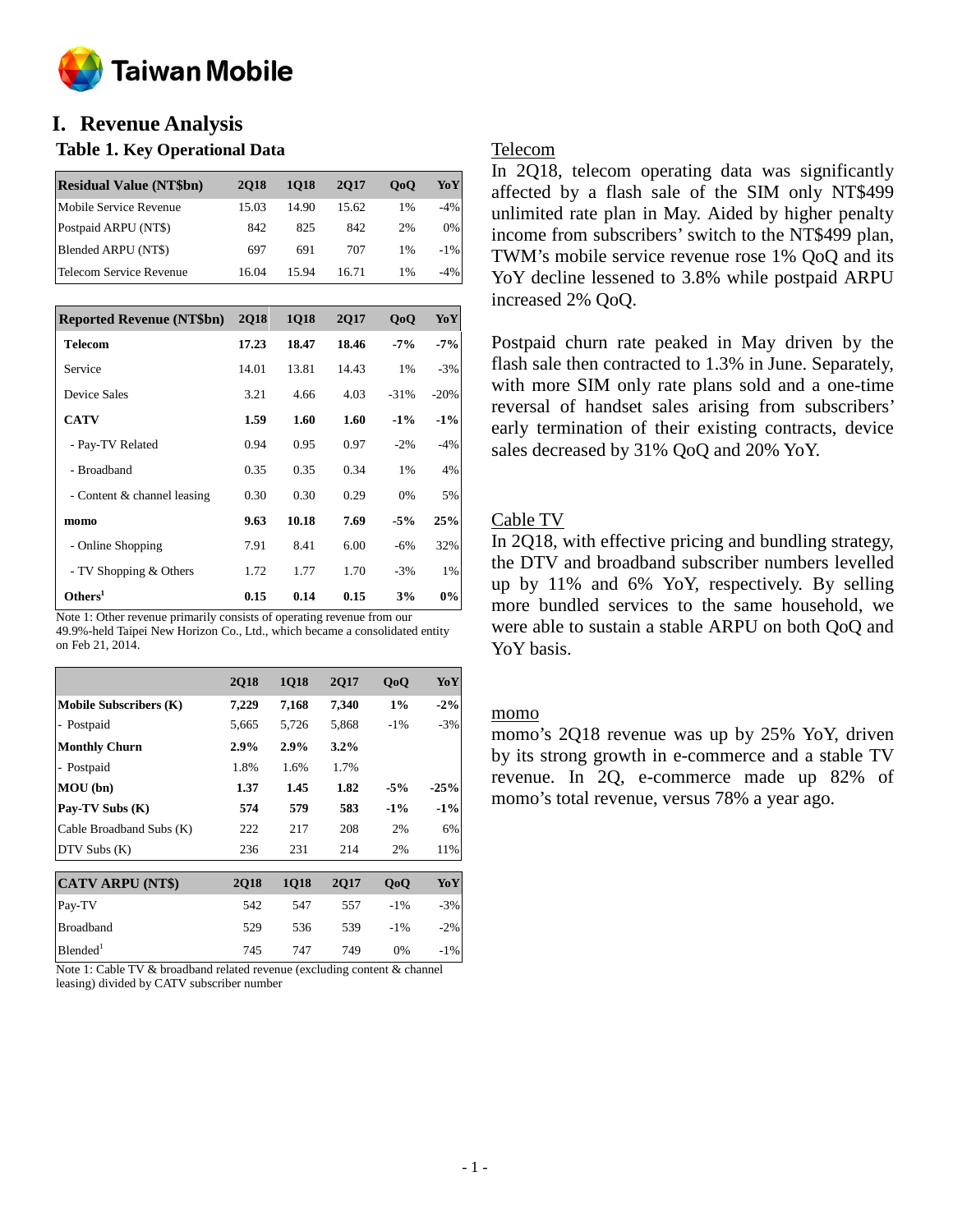

# **I. Revenue Analysis**

### **Table 1. Key Operational Data**

| <b>Residual Value (NT\$bn)</b> | <b>2018</b> | 1018  | 2017  | 0 <sub>0</sub> | YoY    |
|--------------------------------|-------------|-------|-------|----------------|--------|
| Mobile Service Revenue         | 15.03       | 14.90 | 15.62 | 1%             | $-4%$  |
| Postpaid ARPU (NT\$)           | 842         | 825   | 842   | 2%             | 0%     |
| Blended ARPU (NT\$)            | 697         | 691   | 707   | $1\%$          | $-1\%$ |
| Telecom Service Revenue        | 16.04       | 15.94 | 16.71 | 1%             | -4%    |

| <b>Reported Revenue (NT\$bn)</b> | <b>2Q18</b> | <b>1Q18</b> | <b>2Q17</b> | 0 <sub>0</sub> | YoY    |
|----------------------------------|-------------|-------------|-------------|----------------|--------|
| <b>Telecom</b>                   | 17.23       | 18.47       | 18.46       | $-7\%$         | $-7%$  |
| Service                          | 14.01       | 13.81       | 14.43       | 1%             | $-3%$  |
| Device Sales                     | 3.21        | 4.66        | 4.03        | $-31%$         | $-20%$ |
| <b>CATV</b>                      | 1.59        | 1.60        | 1.60        | $-1\%$         | $-1\%$ |
| - Pay-TV Related                 | 0.94        | 0.95        | 0.97        | $-2\%$         | $-4%$  |
| - Broadband                      | 0.35        | 0.35        | 0.34        | 1%             | 4%     |
| - Content & channel leasing      | 0.30        | 0.30        | 0.29        | 0%             | 5%     |
| momo                             | 9.63        | 10.18       | 7.69        | $-5%$          | 25%    |
| - Online Shopping                | 7.91        | 8.41        | 6.00        | $-6\%$         | 32%    |
| - TV Shopping & Others           | 1.72        | 1.77        | 1.70        | $-3%$          | 1%     |
| Others <sup>1</sup>              | 0.15        | 0.14        | 0.15        | 3%             | 0%     |

Note 1: Other revenue primarily consists of operating revenue from our 49.9%-held Taipei New Horizon Co., Ltd., which became a consolidated entity on Feb 21, 2014.

|                               | <b>2Q18</b> | <b>1Q18</b> | <b>2Q17</b> | QoQ    | YoY    |
|-------------------------------|-------------|-------------|-------------|--------|--------|
| <b>Mobile Subscribers (K)</b> | 7,229       | 7,168       | 7,340       | $1\%$  | $-2\%$ |
| - Postpaid                    | 5,665       | 5,726       | 5,868       | $-1\%$ | $-3%$  |
| <b>Monthly Churn</b>          | $2.9\%$     | 2.9%        | $3.2\%$     |        |        |
| - Postpaid                    | 1.8%        | 1.6%        | 1.7%        |        |        |
| MOU (bn)                      | 1.37        | 1.45        | 1.82        | $-5%$  | $-25%$ |
| Pay-TV Subs (K)               | 574         | 579         | 583         | $-1\%$ | $-1\%$ |
| Cable Broadband Subs (K)      | 222         | 217         | 208         | 2%     | 6%     |
| $DTV$ Subs $(K)$              | 236         | 231         | 214         | 2%     | 11%    |
| <b>CATV ARPU (NT\$)</b>       | <b>2Q18</b> | 1Q18        | 2Q17        | QoQ    | YoY    |
| Pay-TV                        | 542         | 547         | 557         | $-1\%$ | $-3%$  |
| <b>Broadband</b>              | 529         | 536         | 539         | $-1\%$ | $-2\%$ |
| Blended <sup>1</sup>          | 745         | 747         | 749         | 0%     | $-1\%$ |

Note 1: Cable TV & broadband related revenue (excluding content & channel leasing) divided by CATV subscriber number

### Telecom

In 2Q18, telecom operating data was significantly affected by a flash sale of the SIM only NT\$499 unlimited rate plan in May. Aided by higher penalty income from subscribers' switch to the NT\$499 plan, TWM's mobile service revenue rose 1% QoQ and its YoY decline lessened to 3.8% while postpaid ARPU increased 2% QoQ.

Postpaid churn rate peaked in May driven by the flash sale then contracted to 1.3% in June. Separately, with more SIM only rate plans sold and a one-time reversal of handset sales arising from subscribers' early termination of their existing contracts, device sales decreased by 31% QoQ and 20% YoY.

## Cable TV

In 2Q18, with effective pricing and bundling strategy, the DTV and broadband subscriber numbers levelled up by 11% and 6% YoY, respectively. By selling more bundled services to the same household, we were able to sustain a stable ARPU on both QoQ and YoY basis.

#### momo

momo's 2Q18 revenue was up by 25% YoY, driven by its strong growth in e-commerce and a stable TV revenue. In 2Q, e-commerce made up 82% of momo's total revenue, versus 78% a year ago.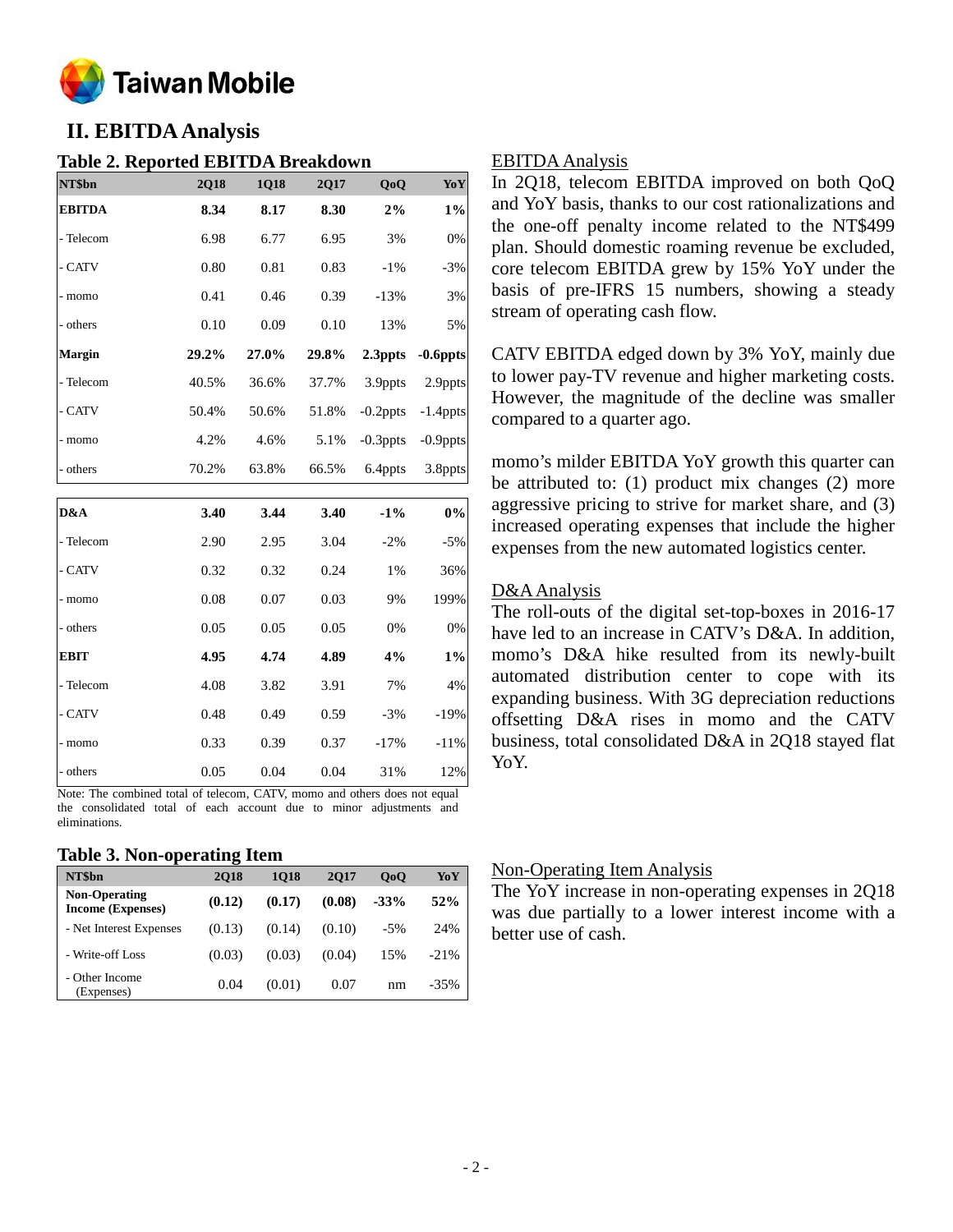

# **II. EBITDA Analysis**

### **Table 2. Reported EBITDA Breakdown**

| NT\$bn        | <b>2Q18</b> | 1Q18  | 2Q17  | QoQ         | YoY         |
|---------------|-------------|-------|-------|-------------|-------------|
| <b>EBITDA</b> | 8.34        | 8.17  | 8.30  | 2%          | $1\%$       |
| - Telecom     | 6.98        | 6.77  | 6.95  | 3%          | 0%          |
| - CATV        | 0.80        | 0.81  | 0.83  | $-1%$       | $-3%$       |
| - momo        | 0.41        | 0.46  | 0.39  | $-13%$      | 3%          |
| - others      | 0.10        | 0.09  | 0.10  | 13%         | 5%          |
| Margin        | 29.2%       | 27.0% | 29.8% | 2.3ppts     | $-0.6$ ppts |
| - Telecom     | 40.5%       | 36.6% | 37.7% | 3.9ppts     | 2.9ppts     |
| - CATV        | 50.4%       | 50.6% | 51.8% | $-0.2$ ppts | $-1.4$ ppts |
| - momo        | 4.2%        | 4.6%  | 5.1%  | $-0.3$ ppts | $-0.9$ ppts |
| - others      | 70.2%       | 63.8% | 66.5% | 6.4ppts     | 3.8ppts     |
|               |             |       |       |             |             |
|               |             |       |       |             |             |
| D&A           | 3.40        | 3.44  | 3.40  | $-1\%$      | 0%          |
| - Telecom     | 2.90        | 2.95  | 3.04  | $-2%$       | $-5%$       |
| - CATV        | 0.32        | 0.32  | 0.24  | 1%          | 36%         |
| - momo        | 0.08        | 0.07  | 0.03  | 9%          | 199%        |
| - others      | 0.05        | 0.05  | 0.05  | 0%          | 0%          |
| <b>EBIT</b>   | 4.95        | 4.74  | 4.89  | 4%          | $1\%$       |
| - Telecom     | 4.08        | 3.82  | 3.91  | 7%          | 4%          |
| - CATV        | 0.48        | 0.49  | 0.59  | $-3%$       | $-19%$      |
| - momo        | 0.33        | 0.39  | 0.37  | $-17%$      | $-11%$      |

Note: The combined total of telecom, CATV, momo and others does not equal the consolidated total of each account due to minor adjustments and eliminations.

#### **Table 3. Non-operating Item**

| NT\$bn                                           | <b>2018</b> | <b>1018</b> | 2017   | 0 <sub>0</sub> | YoY    |
|--------------------------------------------------|-------------|-------------|--------|----------------|--------|
| <b>Non-Operating</b><br><b>Income (Expenses)</b> | (0.12)      | (0.17)      | (0.08) | $-33%$         | 52%    |
| - Net Interest Expenses                          | (0.13)      | (0.14)      | (0.10) | $-5\%$         | 24%    |
| - Write-off Loss                                 | (0.03)      | (0.03)      | (0.04) | 15%            | $-21%$ |
| - Other Income<br>(Expenses)                     | 0.04        | (0.01)      | 0.07   | nm             | $-35%$ |

### EBITDA Analysis

In 2Q18, telecom EBITDA improved on both QoQ and YoY basis, thanks to our cost rationalizations and the one-off penalty income related to the NT\$499 plan. Should domestic roaming revenue be excluded, core telecom EBITDA grew by 15% YoY under the basis of pre-IFRS 15 numbers, showing a steady stream of operating cash flow.

CATV EBITDA edged down by 3% YoY, mainly due to lower pay-TV revenue and higher marketing costs. However, the magnitude of the decline was smaller compared to a quarter ago.

momo's milder EBITDA YoY growth this quarter can be attributed to: (1) product mix changes (2) more aggressive pricing to strive for market share, and (3) increased operating expenses that include the higher expenses from the new automated logistics center.

### D&A Analysis

The roll-outs of the digital set-top-boxes in 2016-17 have led to an increase in CATV's D&A. In addition, momo's D&A hike resulted from its newly-built automated distribution center to cope with its expanding business. With 3G depreciation reductions offsetting D&A rises in momo and the CATV business, total consolidated D&A in 2Q18 stayed flat YoY.

### Non-Operating Item Analysis

The YoY increase in non-operating expenses in 2Q18 was due partially to a lower interest income with a better use of cash.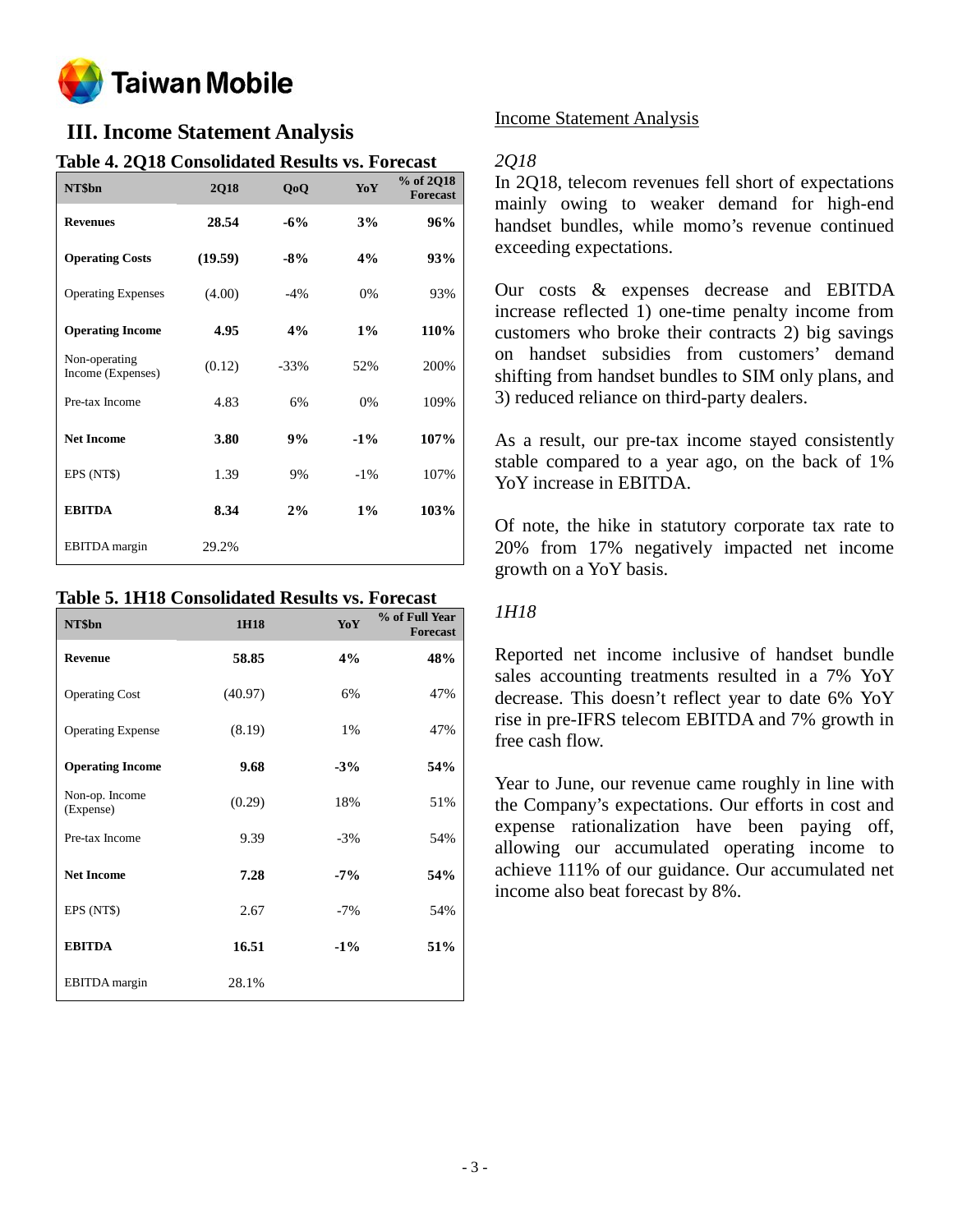

# **III. Income Statement Analysis**

| radio 4. EQTO Consonuated results vs. I oreast |             |        |        |                              |
|------------------------------------------------|-------------|--------|--------|------------------------------|
| NT\$bn                                         | <b>2Q18</b> | QoQ    | YoY    | % of 2Q18<br><b>Forecast</b> |
| <b>Revenues</b>                                | 28.54       | $-6%$  | 3%     | 96%                          |
| <b>Operating Costs</b>                         | (19.59)     | $-8%$  | 4%     | 93%                          |
| <b>Operating Expenses</b>                      | (4.00)      | $-4%$  | 0%     | 93%                          |
| <b>Operating Income</b>                        | 4.95        | 4%     | $1\%$  | 110%                         |
| Non-operating<br>Income (Expenses)             | (0.12)      | $-33%$ | 52%    | 200%                         |
| Pre-tax Income                                 | 4.83        | 6%     | 0%     | 109%                         |
| <b>Net Income</b>                              | 3.80        | 9%     | $-1\%$ | 107%                         |
| EPS (NT\$)                                     | 1.39        | 9%     | $-1\%$ | 107%                         |
| <b>EBITDA</b>                                  | 8.34        | 2%     | $1\%$  | 103%                         |
| <b>EBITDA</b> margin                           | 29.2%       |        |        |                              |

## **Table 4. 2Q18 Consolidated Results vs. Forecast**

## **Table 5. 1H18 Consolidated Results vs. Forecast**

| NT\$bn                      | 1H18    | YoY    | % of Full Year<br><b>Forecast</b> |
|-----------------------------|---------|--------|-----------------------------------|
| <b>Revenue</b>              | 58.85   | 4%     | 48%                               |
| <b>Operating Cost</b>       | (40.97) | 6%     | 47%                               |
| <b>Operating Expense</b>    | (8.19)  | 1%     | 47%                               |
| <b>Operating Income</b>     | 9.68    | $-3%$  | 54%                               |
| Non-op. Income<br>(Expense) | (0.29)  | 18%    | 51%                               |
| Pre-tax Income              | 9.39    | $-3%$  | 54%                               |
| <b>Net Income</b>           | 7.28    | $-7%$  | 54%                               |
| EPS (NT\$)                  | 2.67    | $-7%$  | 54%                               |
| <b>EBITDA</b>               | 16.51   | $-1\%$ | 51%                               |
| EBITDA margin               | 28.1%   |        |                                   |

### Income Statement Analysis

### *2Q18*

In 2Q18, telecom revenues fell short of expectations mainly owing to weaker demand for high-end handset bundles, while momo's revenue continued exceeding expectations.

Our costs & expenses decrease and EBITDA increase reflected 1) one-time penalty income from customers who broke their contracts 2) big savings on handset subsidies from customers' demand shifting from handset bundles to SIM only plans, and 3) reduced reliance on third-party dealers.

As a result, our pre-tax income stayed consistently stable compared to a year ago, on the back of 1% YoY increase in EBITDA.

Of note, the hike in statutory corporate tax rate to 20% from 17% negatively impacted net income growth on a YoY basis.

### *1H18*

Reported net income inclusive of handset bundle sales accounting treatments resulted in a 7% YoY decrease. This doesn't reflect year to date 6% YoY rise in pre-IFRS telecom EBITDA and 7% growth in free cash flow.

Year to June, our revenue came roughly in line with the Company's expectations. Our efforts in cost and expense rationalization have been paying off, allowing our accumulated operating income to achieve 111% of our guidance. Our accumulated net income also beat forecast by 8%.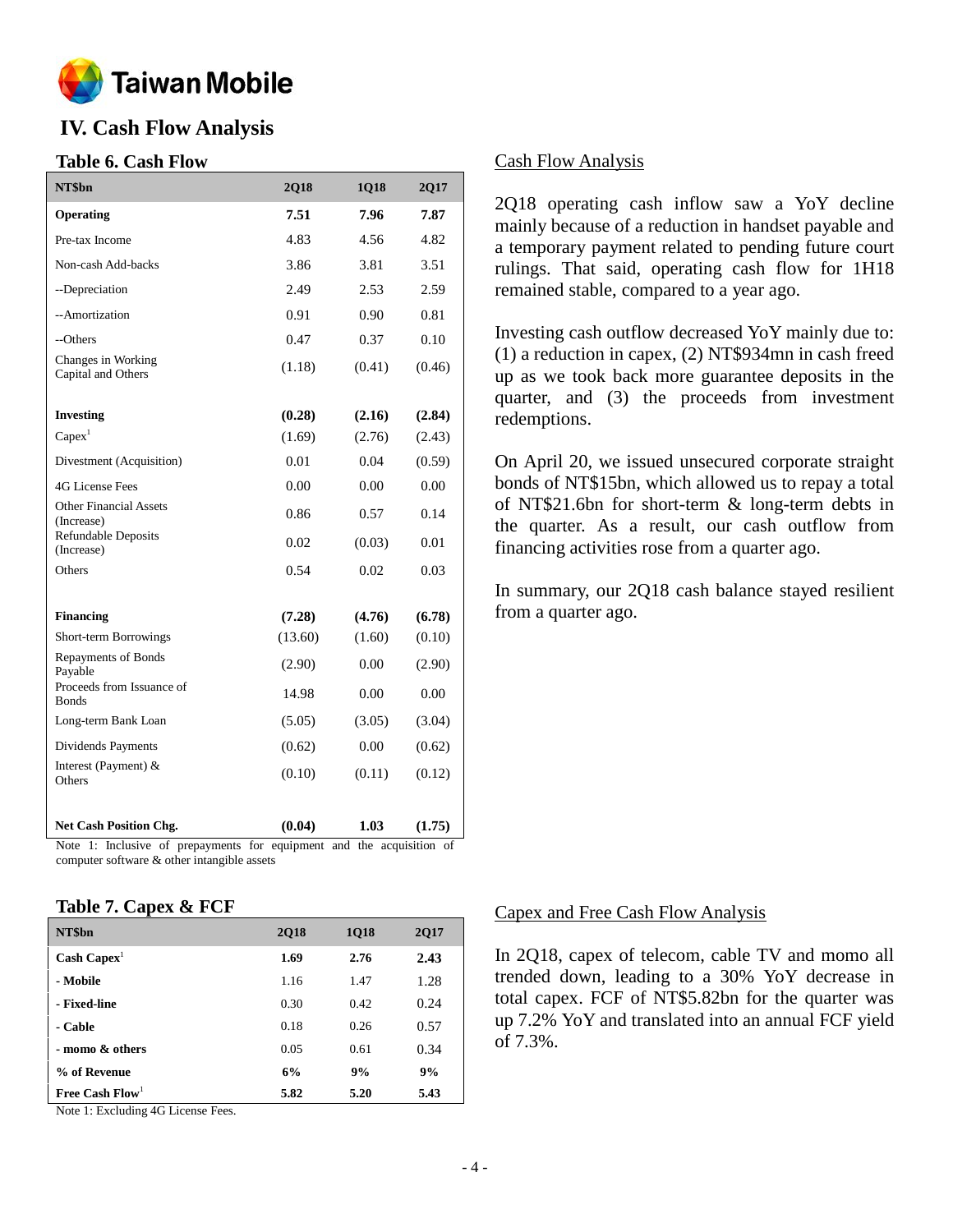

# **IV. Cash Flow Analysis**

### **Table 6. Cash Flow**

| NT\$bn                                      | 2Q18    | 1Q18   | 2Q17   |
|---------------------------------------------|---------|--------|--------|
| Operating                                   | 7.51    | 7.96   | 7.87   |
| Pre-tax Income                              | 4.83    | 4.56   | 4.82   |
| Non-cash Add-backs                          | 3.86    | 3.81   | 3.51   |
| --Depreciation                              | 2.49    | 2.53   | 2.59   |
| --Amortization                              | 0.91    | 0.90   | 0.81   |
| --Others                                    | 0.47    | 0.37   | 0.10   |
| Changes in Working<br>Capital and Others    | (1.18)  | (0.41) | (0.46) |
| <b>Investing</b>                            | (0.28)  | (2.16) | (2.84) |
| Capex <sup>1</sup>                          | (1.69)  | (2.76) | (2.43) |
| Divestment (Acquisition)                    | 0.01    | 0.04   | (0.59) |
| <b>4G License Fees</b>                      | 0.00    | 0.00   | 0.00   |
| <b>Other Financial Assets</b><br>(Increase) | 0.86    | 0.57   | 0.14   |
| <b>Refundable Deposits</b><br>(Increase)    | 0.02    | (0.03) | 0.01   |
| Others                                      | 0.54    | 0.02   | 0.03   |
| <b>Financing</b>                            | (7.28)  | (4.76) | (6.78) |
| Short-term Borrowings                       | (13.60) | (1.60) | (0.10) |
| Repayments of Bonds<br>Payable              | (2.90)  | 0.00   | (2.90) |
| Proceeds from Issuance of<br><b>Bonds</b>   | 14.98   | 0.00   | 0.00   |
| Long-term Bank Loan                         | (5.05)  | (3.05) | (3.04) |
| Dividends Payments                          | (0.62)  | 0.00   | (0.62) |
| Interest (Payment) &<br>Others              | (0.10)  | (0.11) | (0.12) |
| <b>Net Cash Position Chg.</b>               | (0.04)  | 1.03   | (1.75) |

Note 1: Inclusive of prepayments for equipment and the acquisition of computer software & other intangible assets

### **Table 7. Capex & FCF**

| NT\$bn                      | <b>2Q18</b> | <b>1Q18</b> | 2Q17 |
|-----------------------------|-------------|-------------|------|
| $\text{Cash} \text{ Capex}$ | 1.69        | 2.76        | 2.43 |
| - Mobile                    | 1.16        | 1.47        | 1.28 |
| - Fixed-line                | 0.30        | 0.42        | 0.24 |
| - Cable                     | 0.18        | 0.26        | 0.57 |
| - momo & others             | 0.05        | 0.61        | 0.34 |
| % of Revenue                | 6%          | 9%          | 9%   |
| Free Cash $Flow1$           | 5.82        | 5.20        | 5.43 |

Note 1: Excluding 4G License Fees.

### Cash Flow Analysis

2Q18 operating cash inflow saw a YoY decline mainly because of a reduction in handset payable and a temporary payment related to pending future court rulings. That said, operating cash flow for 1H18 remained stable, compared to a year ago.

Investing cash outflow decreased YoY mainly due to: (1) a reduction in capex, (2) NT\$934mn in cash freed up as we took back more guarantee deposits in the quarter, and (3) the proceeds from investment redemptions.

On April 20, we issued unsecured corporate straight bonds of NT\$15bn, which allowed us to repay a total of NT\$21.6bn for short-term & long-term debts in the quarter. As a result, our cash outflow from financing activities rose from a quarter ago.

In summary, our 2Q18 cash balance stayed resilient from a quarter ago.

#### Capex and Free Cash Flow Analysis

In 2Q18, capex of telecom, cable TV and momo all trended down, leading to a 30% YoY decrease in total capex. FCF of NT\$5.82bn for the quarter was up 7.2% YoY and translated into an annual FCF yield of 7.3%.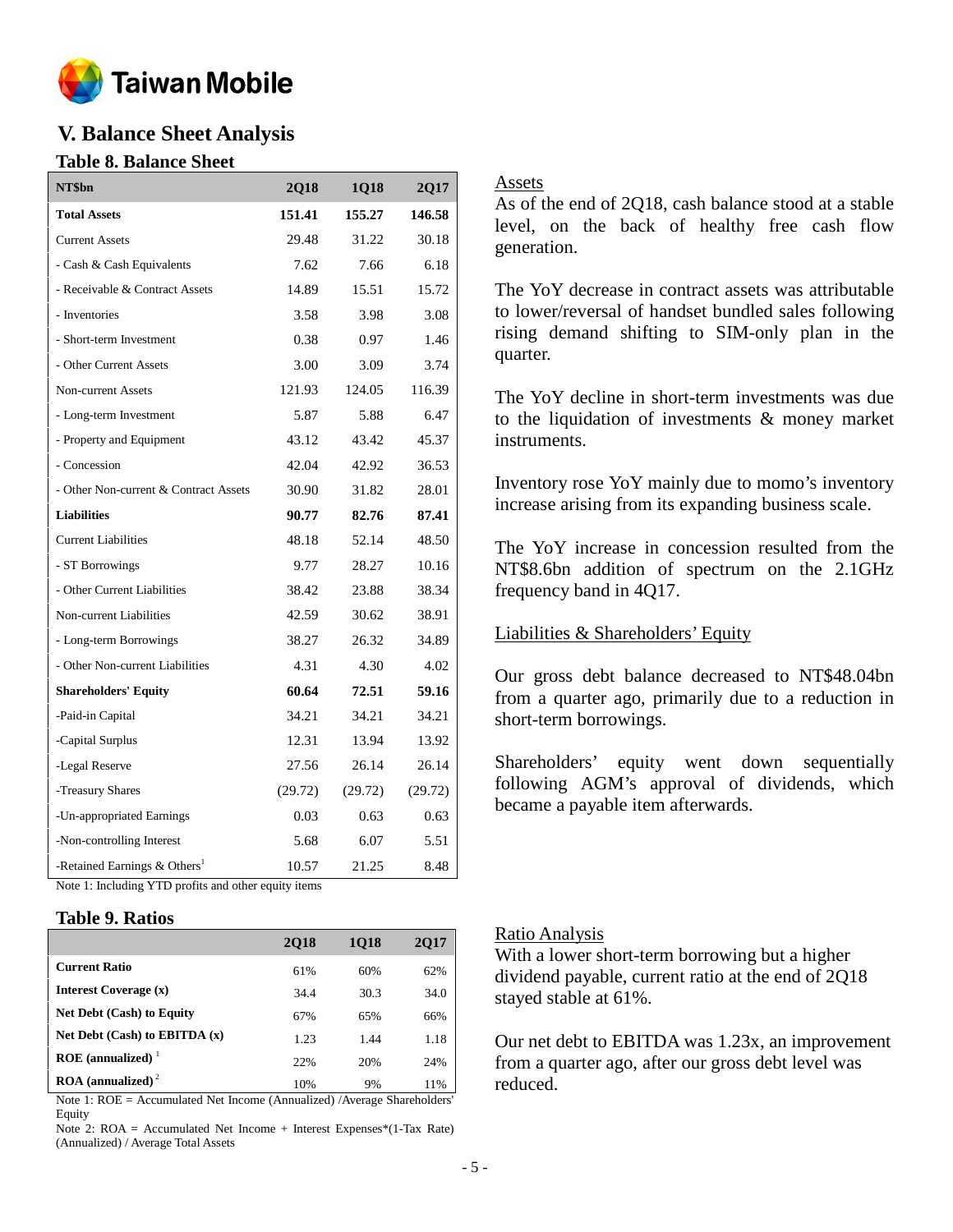

# **V. Balance Sheet Analysis**

### **Table 8. Balance Sheet**

| NT\$bn                                               | 2Q18    | 1Q18    | <b>2017</b> |
|------------------------------------------------------|---------|---------|-------------|
| <b>Total Assets</b>                                  | 151.41  | 155.27  | 146.58      |
| <b>Current Assets</b>                                | 29.48   | 31.22   | 30.18       |
| - Cash & Cash Equivalents                            | 7.62    | 7.66    | 6.18        |
| - Receivable & Contract Assets                       | 14.89   | 15.51   | 15.72       |
| - Inventories                                        | 3.58    | 3.98    | 3.08        |
| - Short-term Investment                              | 0.38    | 0.97    | 1.46        |
| - Other Current Assets                               | 3.00    | 3.09    | 3.74        |
| <b>Non-current Assets</b>                            | 121.93  | 124.05  | 116.39      |
| - Long-term Investment                               | 5.87    | 5.88    | 6.47        |
| - Property and Equipment                             | 43.12   | 43.42   | 45.37       |
| - Concession                                         | 42.04   | 42.92   | 36.53       |
| - Other Non-current & Contract Assets                | 30.90   | 31.82   | 28.01       |
| <b>Liabilities</b>                                   | 90.77   | 82.76   | 87.41       |
| <b>Current Liabilities</b>                           | 48.18   | 52.14   | 48.50       |
| - ST Borrowings                                      | 9.77    | 28.27   | 10.16       |
| - Other Current Liabilities                          | 38.42   | 23.88   | 38.34       |
| Non-current Liabilities                              | 42.59   | 30.62   | 38.91       |
| - Long-term Borrowings                               | 38.27   | 26.32   | 34.89       |
| - Other Non-current Liabilities                      | 4.31    | 4.30    | 4.02        |
| <b>Shareholders' Equity</b>                          | 60.64   | 72.51   | 59.16       |
| -Paid-in Capital                                     | 34.21   | 34.21   | 34.21       |
| -Capital Surplus                                     | 12.31   | 13.94   | 13.92       |
| -Legal Reserve                                       | 27.56   | 26.14   | 26.14       |
| -Treasury Shares                                     | (29.72) | (29.72) | (29.72)     |
| -Un-appropriated Earnings                            | 0.03    | 0.63    | 0.63        |
| -Non-controlling Interest                            | 5.68    | 6.07    | 5.51        |
| -Retained Earnings & Others <sup>1</sup>             | 10.57   | 21.25   | 8.48        |
| Note 1: Including YTD profits and other equity items |         |         |             |

### **Table 9. Ratios**

|                                          | <b>2018</b> | 1018 | 2017 |
|------------------------------------------|-------------|------|------|
| <b>Current Ratio</b>                     | 61%         | 60%  | 62%  |
| Interest Coverage (x)                    | 34.4        | 30.3 | 34.0 |
| <b>Net Debt (Cash) to Equity</b>         | 67%         | 65%  | 66%  |
| Net Debt $(Cash)$ to EBITDA $(x)$        | 1.23        | 1.44 | 1.18 |
| ROE (annualized) $1$                     | 22%         | 20%  | 24%  |
| $\textbf{ROA}$ (annualized) <sup>2</sup> | 10%         | 9%   | 11%  |

Note 1: ROE = Accumulated Net Income (Annualized) /Average Shareholders' Equity

Note 2: ROA = Accumulated Net Income + Interest Expenses\*(1-Tax Rate) (Annualized) / Average Total Assets

### Assets

As of the end of 2Q18, cash balance stood at a stable level, on the back of healthy free cash flow generation.

The YoY decrease in contract assets was attributable to lower/reversal of handset bundled sales following rising demand shifting to SIM-only plan in the quarter.

The YoY decline in short-term investments was due to the liquidation of investments & money market instruments.

Inventory rose YoY mainly due to momo's inventory increase arising from its expanding business scale.

The YoY increase in concession resulted from the NT\$8.6bn addition of spectrum on the 2.1GHz frequency band in 4Q17.

### Liabilities & Shareholders' Equity

Our gross debt balance decreased to NT\$48.04bn from a quarter ago, primarily due to a reduction in short-term borrowings.

Shareholders' equity went down sequentially following AGM's approval of dividends, which became a payable item afterwards.

### Ratio Analysis

With a lower short-term borrowing but a higher dividend payable, current ratio at the end of 2Q18 stayed stable at 61%.

Our net debt to EBITDA was 1.23x, an improvement from a quarter ago, after our gross debt level was reduced.